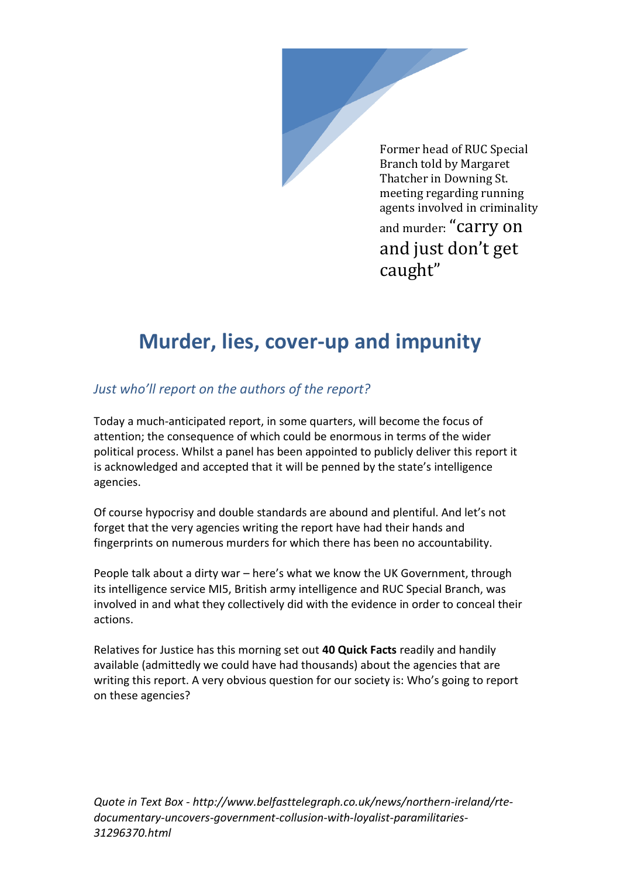Former head of RUC Special Branch told by Margaret Thatcher in Downing St. meeting regarding running agents involved in criminality and murder: "carry on and just don't get caught"

# **Murder, lies, cover-up and impunity**

#### *Just who'll report on the authors of the report?*

Today a much-anticipated report, in some quarters, will become the focus of attention; the consequence of which could be enormous in terms of the wider political process. Whilst a panel has been appointed to publicly deliver this report it is acknowledged and accepted that it will be penned by the state's intelligence agencies.

Of course hypocrisy and double standards are abound and plentiful. And let's not forget that the very agencies writing the report have had their hands and fingerprints on numerous murders for which there has been no accountability.

People talk about a dirty war – here's what we know the UK Government, through its intelligence service MI5, British army intelligence and RUC Special Branch, was involved in and what they collectively did with the evidence in order to conceal their actions.

Relatives for Justice has this morning set out **40 Quick Facts** readily and handily available (admittedly we could have had thousands) about the agencies that are writing this report. A very obvious question for our society is: Who's going to report on these agencies?

*Quote in Text Box - http://www.belfasttelegraph.co.uk/news/northern-ireland/rtedocumentary-uncovers-government-collusion-with-loyalist-paramilitaries-31296370.html*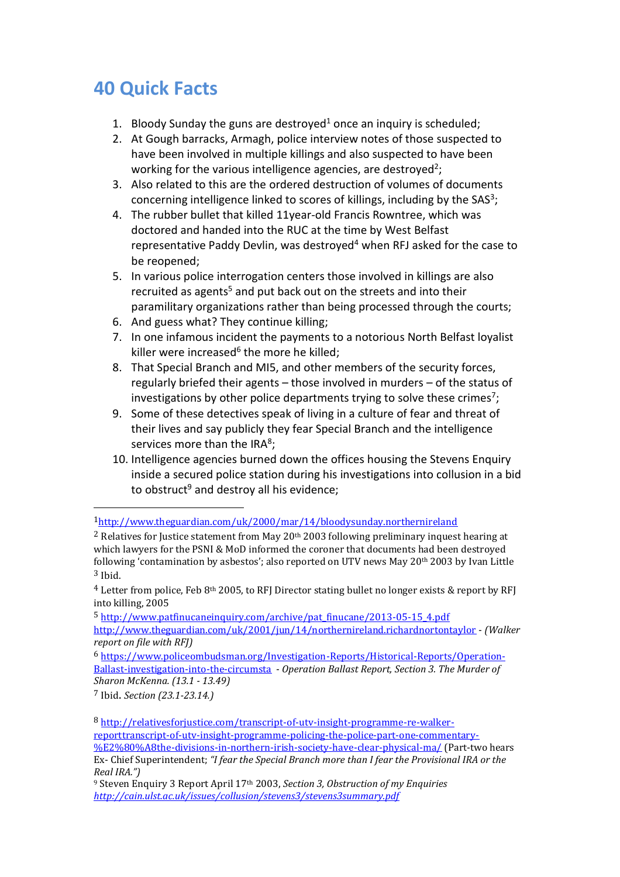## **40 Quick Facts**

- 1. Bloody Sunday the guns are destroyed<sup>1</sup> once an inquiry is scheduled;
- 2. At Gough barracks, Armagh, police interview notes of those suspected to have been involved in multiple killings and also suspected to have been working for the various intelligence agencies, are destroyed<sup>2</sup>;
- 3. Also related to this are the ordered destruction of volumes of documents concerning intelligence linked to scores of killings, including by the SAS<sup>3</sup>;
- 4. The rubber bullet that killed 11year-old Francis Rowntree, which was doctored and handed into the RUC at the time by West Belfast representative Paddy Devlin, was destroyed<sup>4</sup> when RFJ asked for the case to be reopened;
- 5. In various police interrogation centers those involved in killings are also recruited as agents<sup>5</sup> and put back out on the streets and into their paramilitary organizations rather than being processed through the courts;
- 6. And guess what? They continue killing;
- 7. In one infamous incident the payments to a notorious North Belfast loyalist killer were increased<sup>6</sup> the more he killed;
- 8. That Special Branch and MI5, and other members of the security forces, regularly briefed their agents – those involved in murders – of the status of investigations by other police departments trying to solve these crimes<sup>7</sup>;
- 9. Some of these detectives speak of living in a culture of fear and threat of their lives and say publicly they fear Special Branch and the intelligence services more than the IRA $^8$ ;
- 10. Intelligence agencies burned down the offices housing the Stevens Enquiry inside a secured police station during his investigations into collusion in a bid to obstruct<sup>9</sup> and destroy all his evidence;

 $4$  Letter from police, Feb 8<sup>th</sup> 2005, to RFJ Director stating bullet no longer exists & report by RFJ into killing, 2005

5 [http://www.patfinucaneinquiry.com/archive/pat\\_finucane/2013-05-15\\_4.pdf](http://www.patfinucaneinquiry.com/archive/pat_finucane/2013-05-15_4.pdf) <http://www.theguardian.com/uk/2001/jun/14/northernireland.richardnortontaylor> - *(Walker report on file with RFJ)*

6 [https://www.policeombudsman.org/Investigation-Reports/Historical-Reports/Operation-](https://www.policeombudsman.org/Investigation-Reports/Historical-Reports/Operation-Ballast-investigation-into-the-circumsta)[Ballast-investigation-into-the-circumsta](https://www.policeombudsman.org/Investigation-Reports/Historical-Reports/Operation-Ballast-investigation-into-the-circumsta) - *Operation Ballast Report, Section 3. The Murder of Sharon McKenna. (13.1 - 13.49)*

<sup>7</sup> Ibid. *Section (23.1-23.14.)*

 $\overline{a}$ 

8 [http://relativesforjustice.com/transcript-of-utv-insight-programme-re-walker](http://relativesforjustice.com/transcript-of-utv-insight-programme-re-walker-reporttranscript-of-utv-insight-programme-policing-the-police-part-one-commentary-%E2%80%A8the-divisions-in-northern-irish-society-have-clear-physical-ma/)[reporttranscript-of-utv-insight-programme-policing-the-police-part-one-commentary-](http://relativesforjustice.com/transcript-of-utv-insight-programme-re-walker-reporttranscript-of-utv-insight-programme-policing-the-police-part-one-commentary-%E2%80%A8the-divisions-in-northern-irish-society-have-clear-physical-ma/) [%E2%80%A8the-divisions-in-northern-irish-society-have-clear-physical-ma/](http://relativesforjustice.com/transcript-of-utv-insight-programme-re-walker-reporttranscript-of-utv-insight-programme-policing-the-police-part-one-commentary-%E2%80%A8the-divisions-in-northern-irish-society-have-clear-physical-ma/) (Part-two hears Ex- Chief Superintendent; *"I fear the Special Branch more than I fear the Provisional IRA or the Real IRA.")*

<sup>9</sup> Steven Enquiry 3 Report April 17th 2003, *Section 3, Obstruction of my Enquiries <http://cain.ulst.ac.uk/issues/collusion/stevens3/stevens3summary.pdf>*

<sup>1</sup><http://www.theguardian.com/uk/2000/mar/14/bloodysunday.northernireland>

<sup>&</sup>lt;sup>2</sup> Relatives for Justice statement from May 20<sup>th</sup> 2003 following preliminary inquest hearing at which lawyers for the PSNI & MoD informed the coroner that documents had been destroyed following 'contamination by asbestos'; also reported on UTV news May 20<sup>th</sup> 2003 by Ivan Little 3 Ibid.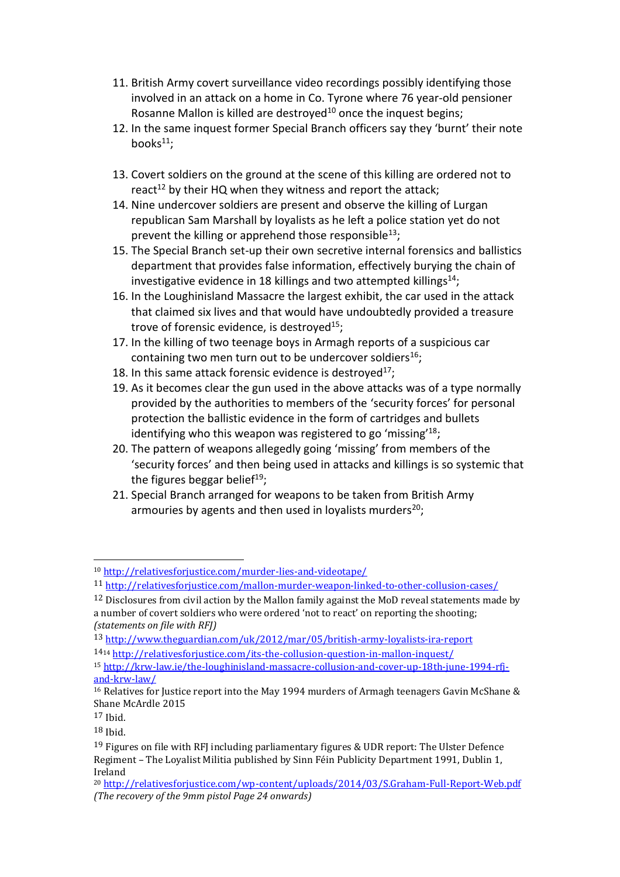- 11. British Army covert surveillance video recordings possibly identifying those involved in an attack on a home in Co. Tyrone where 76 year-old pensioner Rosanne Mallon is killed are destroyed<sup>10</sup> once the inquest begins;
- 12. In the same inquest former Special Branch officers say they 'burnt' their note books $11$ :
- 13. Covert soldiers on the ground at the scene of this killing are ordered not to react<sup>12</sup> by their HQ when they witness and report the attack:
- 14. Nine undercover soldiers are present and observe the killing of Lurgan republican Sam Marshall by loyalists as he left a police station yet do not prevent the killing or apprehend those responsible<sup>13</sup>;
- 15. The Special Branch set-up their own secretive internal forensics and ballistics department that provides false information, effectively burying the chain of investigative evidence in 18 killings and two attempted killings $^{14}$ ;
- 16. In the Loughinisland Massacre the largest exhibit, the car used in the attack that claimed six lives and that would have undoubtedly provided a treasure trove of forensic evidence, is destroyed<sup>15</sup>:
- 17. In the killing of two teenage boys in Armagh reports of a suspicious car containing two men turn out to be undercover soldiers<sup>16</sup>;
- 18. In this same attack forensic evidence is destroyed<sup>17</sup>;
- 19. As it becomes clear the gun used in the above attacks was of a type normally provided by the authorities to members of the 'security forces' for personal protection the ballistic evidence in the form of cartridges and bullets identifying who this weapon was registered to go 'missing'<sup>18</sup>;
- 20. The pattern of weapons allegedly going 'missing' from members of the 'security forces' and then being used in attacks and killings is so systemic that the figures beggar belief<sup>19</sup>;
- 21. Special Branch arranged for weapons to be taken from British Army armouries by agents and then used in loyalists murders<sup>20</sup>;

 $\overline{a}$ 

<sup>10</sup> <http://relativesforjustice.com/murder-lies-and-videotape/>

<sup>11</sup> <http://relativesforjustice.com/mallon-murder-weapon-linked-to-other-collusion-cases/>

 $12$  Disclosures from civil action by the Mallon family against the MoD reveal statements made by a number of covert soldiers who were ordered 'not to react' on reporting the shooting; *(statements on file with RFJ)*

<sup>13</sup> <http://www.theguardian.com/uk/2012/mar/05/british-army-loyalists-ira-report>

<sup>14</sup><sup>14</sup> <http://relativesforjustice.com/its-the-collusion-question-in-mallon-inquest/>

<sup>15</sup> [http://krw-law.ie/the-loughinisland-massacre-collusion-and-cover-up-18th-june-1994-rfj](http://krw-law.ie/the-loughinisland-massacre-collusion-and-cover-up-18th-june-1994-rfj-and-krw-law/)[and-krw-law/](http://krw-law.ie/the-loughinisland-massacre-collusion-and-cover-up-18th-june-1994-rfj-and-krw-law/)

<sup>&</sup>lt;sup>16</sup> Relatives for Justice report into the May 1994 murders of Armagh teenagers Gavin McShane & Shane McArdle 2015

 $17$  Ihid.

<sup>18</sup> Ibid.

 $19$  Figures on file with RFJ including parliamentary figures & UDR report: The Ulster Defence Regiment – The Loyalist Militia published by Sinn Féin Publicity Department 1991, Dublin 1, Ireland

<sup>20</sup> <http://relativesforjustice.com/wp-content/uploads/2014/03/S.Graham-Full-Report-Web.pdf> *(The recovery of the 9mm pistol Page 24 onwards)*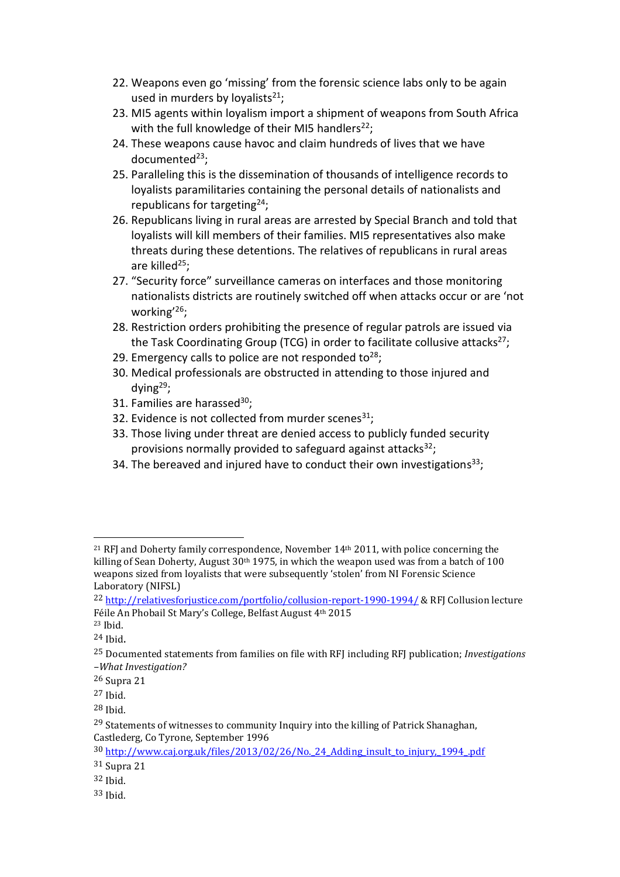- 22. Weapons even go 'missing' from the forensic science labs only to be again used in murders by lovalists $^{21}$ :
- 23. MI5 agents within loyalism import a shipment of weapons from South Africa with the full knowledge of their MI5 handlers<sup>22</sup>;
- 24. These weapons cause havoc and claim hundreds of lives that we have documented $^{23}$ ;
- 25. Paralleling this is the dissemination of thousands of intelligence records to loyalists paramilitaries containing the personal details of nationalists and republicans for targeting<sup>24</sup>;
- 26. Republicans living in rural areas are arrested by Special Branch and told that loyalists will kill members of their families. MI5 representatives also make threats during these detentions. The relatives of republicans in rural areas are killed $^{25}$ ;
- 27. "Security force" surveillance cameras on interfaces and those monitoring nationalists districts are routinely switched off when attacks occur or are 'not working'<sup>26</sup>;
- 28. Restriction orders prohibiting the presence of regular patrols are issued via the Task Coordinating Group (TCG) in order to facilitate collusive attacks<sup>27</sup>;
- 29. Emergency calls to police are not responded to<sup>28</sup>;
- 30. Medical professionals are obstructed in attending to those injured and dving $^{29}$ :
- 31. Families are harassed $^{30}$ ;
- 32. Evidence is not collected from murder scenes<sup>31</sup>;
- 33. Those living under threat are denied access to publicly funded security provisions normally provided to safeguard against attacks $^{32}$ ;
- 34. The bereaved and injured have to conduct their own investigations<sup>33</sup>;

 $\overline{a}$ 

<sup>&</sup>lt;sup>21</sup> RFJ and Doherty family correspondence, November  $14<sup>th</sup>$  2011, with police concerning the killing of Sean Doherty, August  $30<sup>th</sup> 1975$ , in which the weapon used was from a batch of 100 weapons sized from loyalists that were subsequently 'stolen' from NI Forensic Science Laboratory (NIFSL)

<sup>22</sup> <http://relativesforjustice.com/portfolio/collusion-report-1990-1994/> & RFJ Collusion lecture Féile An Phobail St Mary's College, Belfast August 4th 2015

<sup>23</sup> Ibid. <sup>24</sup> Ibid.

<sup>25</sup> Documented statements from families on file with RFJ including RFJ publication; *Investigations –What Investigation?*

<sup>26</sup> Supra 21

<sup>27</sup> Ibid.

<sup>28</sup> Ibid.

<sup>&</sup>lt;sup>29</sup> Statements of witnesses to community Inquiry into the killing of Patrick Shanaghan, Castlederg, Co Tyrone, September 1996

<sup>30</sup> [http://www.caj.org.uk/files/2013/02/26/No.\\_24\\_Adding\\_insult\\_to\\_injury,\\_1994\\_.pdf](http://www.caj.org.uk/files/2013/02/26/No._24_Adding_insult_to_injury,_1994_.pdf) 31 Supra 21

<sup>32</sup> Ibid.

<sup>33</sup> Ibid.